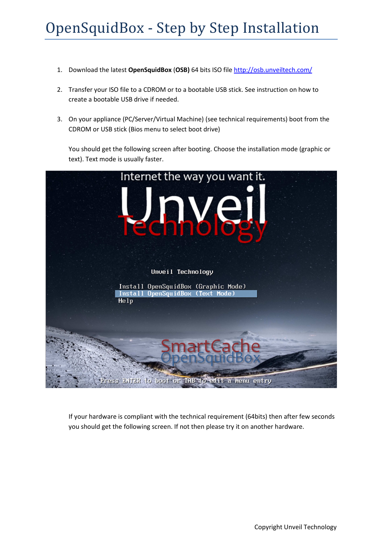## OpenSquidBox - Step by Step Installation

- 1. Download the latest **OpenSquidBox** (**OSB)** 64 bits ISO file http://osb.unveiltech.com/
- 2. Transfer your ISO file to a CDROM or to a bootable USB stick. See instruction on how to create a bootable USB drive if needed.
- 3. On your appliance (PC/Server/Virtual Machine) (see technical requirements) boot from the CDROM or USB stick (Bios menu to select boot drive)

You should get the following screen after booting. Choose the installation mode (graphic or text). Text mode is usually faster.



If your hardware is compliant with the technical requirement (64bits) then after few seconds you should get the following screen. If not then please try it on another hardware.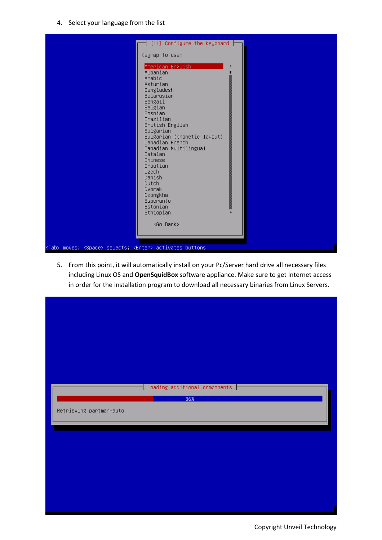4. Select your language from the list



5. From this point, it will automatically install on your Pc/Server hard drive all necessary files including Linux OS and **OpenSquidBox** software appliance. Make sure to get Internet access in order for the installation program to download all necessary binaries from Linux Servers.

| Retrieving partman-auto | Loading additional components $\vdash$<br>36% |
|-------------------------|-----------------------------------------------|
|                         |                                               |
|                         |                                               |

Copyright Unveil Technology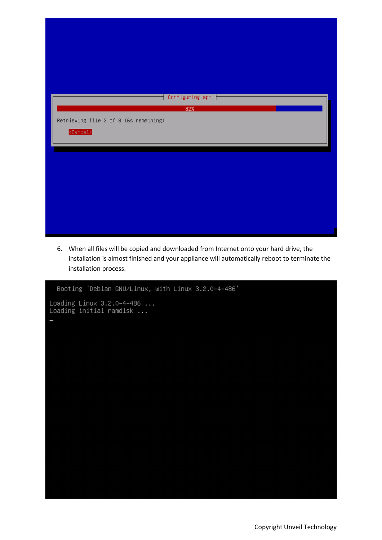| Configuring apt $\vdash$<br>82%                                     |
|---------------------------------------------------------------------|
| Retrieving file 3 of 8 (6s remaining)<br>$\langle$ Cancel $\rangle$ |
|                                                                     |
|                                                                     |
|                                                                     |

6. When all files will be copied and downloaded from Internet onto your hard drive, the installation is almost finished and your appliance will automatically reboot to terminate the installation process.

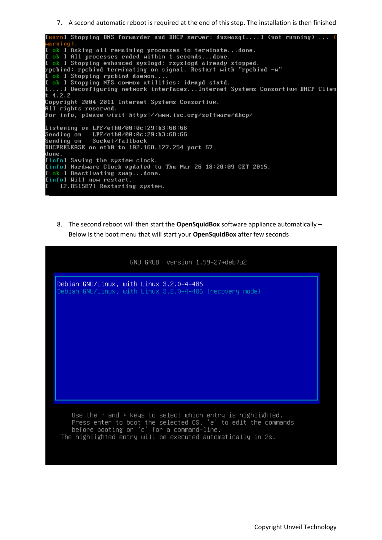7. A second automatic reboot is required at the end of this step. The installation is then finished



8. The second reboot will then start the **OpenSquidBox** software appliance automatically – Below is the boot menu that will start your **OpenSquidBox** after few seconds

|                                          |                                           | GNU GRUB version 1.99-27+deb7u2 |                                                                                                                                                                                                              |
|------------------------------------------|-------------------------------------------|---------------------------------|--------------------------------------------------------------------------------------------------------------------------------------------------------------------------------------------------------------|
| Debian GNU/Linux, with Linux 3.2.0-4-486 |                                           |                                 | Debian GNU/Linux, with Linux 3.2.0–4–486 (recovery mode)                                                                                                                                                     |
|                                          |                                           |                                 |                                                                                                                                                                                                              |
|                                          |                                           |                                 |                                                                                                                                                                                                              |
|                                          |                                           |                                 |                                                                                                                                                                                                              |
|                                          |                                           |                                 |                                                                                                                                                                                                              |
|                                          |                                           |                                 |                                                                                                                                                                                                              |
|                                          | before booting or 'c' for a command-line. |                                 | Use the $\uparrow$ and $\uparrow$ keys to select which entry is highlighted.<br>Press enter to boot the selected OS, 'e' to edit the commands<br>The highlighted entry will be executed automatically in 2s. |
|                                          |                                           |                                 |                                                                                                                                                                                                              |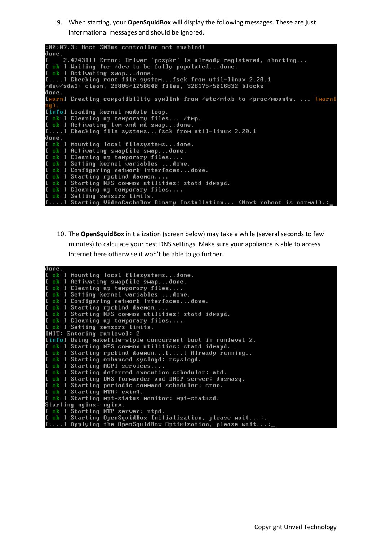9. When starting, your **OpenSquidBox** will display the following messages. These are just informational messages and should be ignored.

|        | :00:07.3: Host SMBus controller not enabled!                                                                           |
|--------|------------------------------------------------------------------------------------------------------------------------|
| done.  |                                                                                                                        |
|        | 2.4743111 Error: Driver 'pcspkr' is already registered, aborting<br>I ok I Waiting for /dev to be fully populateddone. |
|        | I ok I Activating swapdone.                                                                                            |
|        | [] Checking root file systemfsck from util-linux 2.20.1                                                                |
|        | /dev/sda1: clean, 28806/1256640 files, 326175/5016832 blocks                                                           |
| done.  |                                                                                                                        |
|        | Iwarn] Creating compatibility symlink from /etc/mtab to /proc/mounts.  (warni                                          |
| ng ) . |                                                                                                                        |
|        | [info] Loading kernel module loop.                                                                                     |
|        | I ok I Cleaning up temporary files /tmp.                                                                               |
|        | I ok I Activating lvm and md swapdone.                                                                                 |
|        | [] Checking file systemsfsck from util-linux 2.20.1                                                                    |
| done.  |                                                                                                                        |
|        | [ ok ] Mounting local filesystemsdone.                                                                                 |
|        | I ok ] Activating swapfile swapdone.                                                                                   |
|        | [ ok ] Cleaning up temporary files                                                                                     |
|        | [ ok ] Setting kernel variables done.                                                                                  |
|        | I ok I Configuring network interfacesdone.                                                                             |
|        | [ ok ] Starting rpcbind daemon                                                                                         |
|        | I ok I Starting NFS common utilities: statd idmapd.                                                                    |
|        | [ ok ] Cleaning up temporary files                                                                                     |
|        | <b>I</b> ok I Setting sensors limits.                                                                                  |
|        | [] Starting VideoCacheBox Binary Installation (Next reboot is normal).:_                                               |

10. The **OpenSquidBox** initialization (screen below) may take a while (several seconds to few minutes) to calculate your best DNS settings. Make sure your appliance is able to access Internet here otherwise it won't be able to go further.

| done.                                                       |  |
|-------------------------------------------------------------|--|
| [ ok ] Mounting local filesystemsdone.                      |  |
| I ok ] Activating swapfile swapdone.                        |  |
| [ ok ] Cleaning up temporary files                          |  |
| I ok ] Setting kernel variables done.                       |  |
| I ok 1 Configuring network interfacesdone.                  |  |
| [ ok ] Starting rpcbind daemon                              |  |
| I ok ] Starting NFS common utilities: statd idmapd.         |  |
| [ ok ] Cleaning up temporary files                          |  |
| <b>L</b> ok 1 Setting sensors limits.                       |  |
| INIT: Entering runlevel: 2                                  |  |
| [info] Using makefile-style concurrent boot in runlevel 2.  |  |
| [ ok ] Starting NFS common utilities: statd idmapd.         |  |
| [ ok ] Starting rpcbind daemon[] Already running            |  |
| [ ok ] Starting enhanced syslogd: rsyslogd.                 |  |
| [ ok ] Starting ACPI services                               |  |
| [ ok ] Starting deferred execution scheduler: atd.          |  |
| I ok ] Starting DNS forwarder and DHCP server: dnsmasq.     |  |
| I ok 1 Starting periodic command scheduler: cron.           |  |
| I ok ] Starting MTA: exim4.                                 |  |
| I ok I Starting mpt-status monitor: mpt-statusd.            |  |
| Starting nginx: nginx.                                      |  |
| I ok ] Starting NTP server: ntpd.                           |  |
| I ok ] Starting OpenSquidBox Initialization, please wait:.  |  |
| $[1]$ Applying the OpenSquidBox Optimization, please wait:_ |  |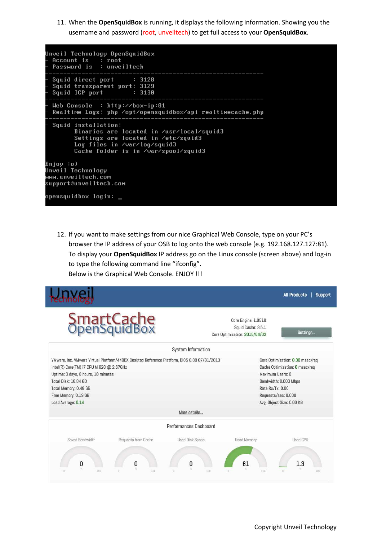11. When the **OpenSquidBox** is running, it displays the following information. Showing you the username and password (root, unveiltech) to get full access to your **OpenSquidBox**.

Unveil Technology OpenSquidBox Account is : root Password is : unveiltech Squid direct port  $: 3128$ Squid transparent port: 3129<br>Squid ICP port : 3130 Web Console :  $h$ ttp: $\angle$ box-ip:81 Realtime Logs: php /opt/opensquidbox/api-realtimecache.php Squid installation: Binaries are located in /usr/local/squid3 Settings are located in /etc/squid3 Log files in /var/log/squid3 Cache folder is in /var/spool/squid3 Enjoy ∶o) Unveil Technology www.unveiltech.com support@unveiltech.com opensquidbox login: <mark>\_</mark>

12. If you want to make settings from our nice Graphical Web Console, type on your PC's browser the IP address of your OSB to log onto the web console (e.g. 192.168.127.127:81). To display your **OpenSquidBox** IP address go on the Linux console (screen above) and log-in to type the following command line "ifconfig". Below is the Graphical Web Console. ENJOY !!!

|                                                                                                                                                                                |                                                                                             |                                    |                                                                            | <b>All Products</b><br>Support                                                                                                                  |
|--------------------------------------------------------------------------------------------------------------------------------------------------------------------------------|---------------------------------------------------------------------------------------------|------------------------------------|----------------------------------------------------------------------------|-------------------------------------------------------------------------------------------------------------------------------------------------|
|                                                                                                                                                                                | SmartCache<br>OpenSquidBox                                                                  |                                    | Core Engine: 1.0510<br>Squid Cache: 3.5.1<br>Core Optimization: 2015/04/02 | Settings                                                                                                                                        |
|                                                                                                                                                                                |                                                                                             | System Information                 |                                                                            |                                                                                                                                                 |
| Intel(R) Core(TM) i7 CPU M 620 @ 2.67GHz<br>Uptime: 0 days, 0 hours, 10 minutes<br>Total Disk: 18.84 GB<br>Total Memory: 0.48 GB<br>Free Memory: 0.19 GB<br>Load Average: 0.14 | VMware, Inc. VMware Virtual Platform/440BX Desktop Reference Platform, BIOS 6.00 07/31/2013 | More details                       | Maximum Users: 0<br>Rate Rx/Tx: 0.00                                       | Core Optimization: 0.00 msec/req<br>Cache Optimization: O msec/req<br>Bandwidth: 0.000 Mbps<br>Requests/sec: 0.000<br>Avg. Object Size: 0.00 KB |
|                                                                                                                                                                                |                                                                                             | Performances Dashboard             |                                                                            |                                                                                                                                                 |
| Saved Bandwidth<br>0<br>100                                                                                                                                                    | Requests from Cache<br>n<br>100<br>ö                                                        | <b>Used Disk Space</b><br>n<br>100 | Used Memory<br>61<br>100<br>a.                                             | Used CPU<br>1.3<br>100<br>G                                                                                                                     |